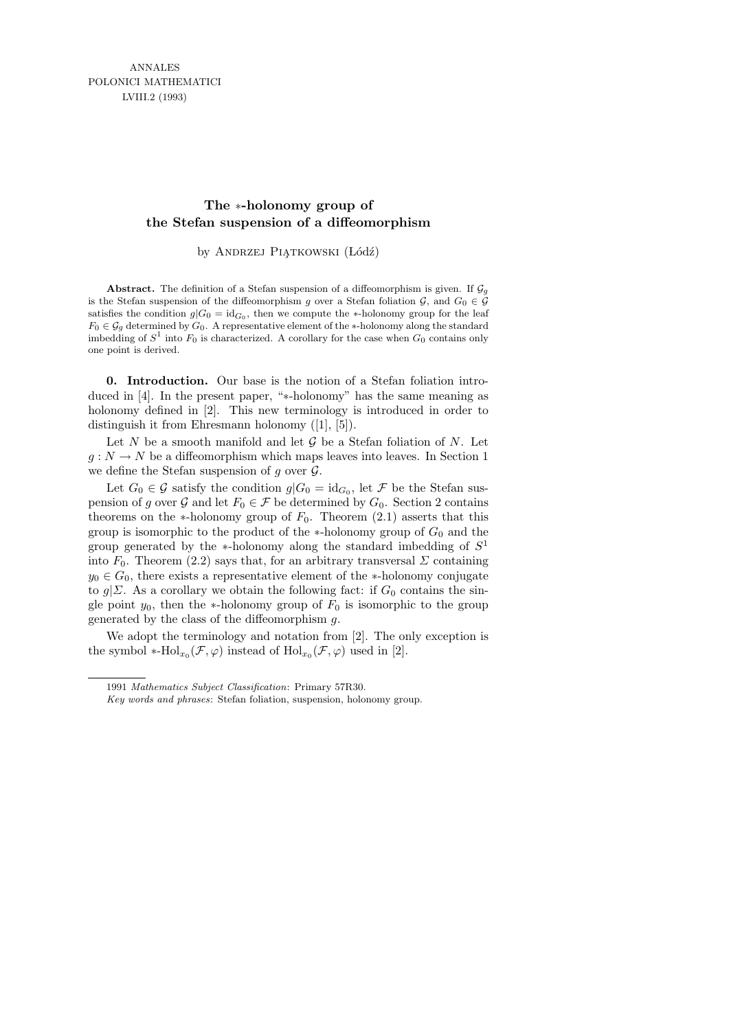## **The** ∗**-holonomy group of the Stefan suspension of a diffeomorphism**

by ANDRZEJ PIĄTKOWSKI (Łódź)

**Abstract.** The definition of a Stefan suspension of a diffeomorphism is given. If  $\mathcal{G}_q$ is the Stefan suspension of the diffeomorphism *g* over a Stefan foliation  $\mathcal{G}$ , and  $G_0 \in \mathcal{G}$ satisfies the condition  $g|G_0 = \mathrm{id}_{G_0}$ , then we compute the *\**-holonomy group for the leaf *F*<sub>0</sub>  $∈$   $G_q$  determined by  $G_0$ . A representative element of the *∗*-holonomy along the standard imbedding of  $S^1$  into  $F_0$  is characterized. A corollary for the case when  $G_0$  contains only one point is derived.

0. Introduction. Our base is the notion of a Stefan foliation introduced in [4]. In the present paper, "∗-holonomy" has the same meaning as holonomy defined in [2]. This new terminology is introduced in order to distinguish it from Ehresmann holonomy ([1], [5]).

Let  $N$  be a smooth manifold and let  $G$  be a Stefan foliation of  $N$ . Let  $g: N \to N$  be a diffeomorphism which maps leaves into leaves. In Section 1 we define the Stefan suspension of  $q$  over  $\mathcal{G}$ .

Let  $G_0 \in \mathcal{G}$  satisfy the condition  $g|G_0 = id_{G_0}$ , let  $\mathcal{F}$  be the Stefan suspension of g over G and let  $F_0 \in \mathcal{F}$  be determined by  $G_0$ . Section 2 contains theorems on the ∗-holonomy group of  $F_0$ . Theorem (2.1) asserts that this group is isomorphic to the product of the  $*$ -holonomy group of  $G_0$  and the group generated by the  $*$ -holonomy along the standard imbedding of  $S<sup>1</sup>$ into  $F_0$ . Theorem (2.2) says that, for an arbitrary transversal  $\Sigma$  containing  $y_0 \in G_0$ , there exists a representative element of the \*-holonomy conjugate to  $g|\Sigma$ . As a corollary we obtain the following fact: if  $G_0$  contains the single point  $y_0$ , then the ∗-holonomy group of  $F_0$  is isomorphic to the group generated by the class of the diffeomorphism g.

We adopt the terminology and notation from [2]. The only exception is the symbol \*-Hol<sub>x<sub>0</sub></sub> $(\mathcal{F}, \varphi)$  instead of Hol<sub>x<sub>0</sub></sub> $(\mathcal{F}, \varphi)$  used in [2].

<sup>1991</sup> *Mathematics Subject Classification*: Primary 57R30.

*Key words and phrases*: Stefan foliation, suspension, holonomy group.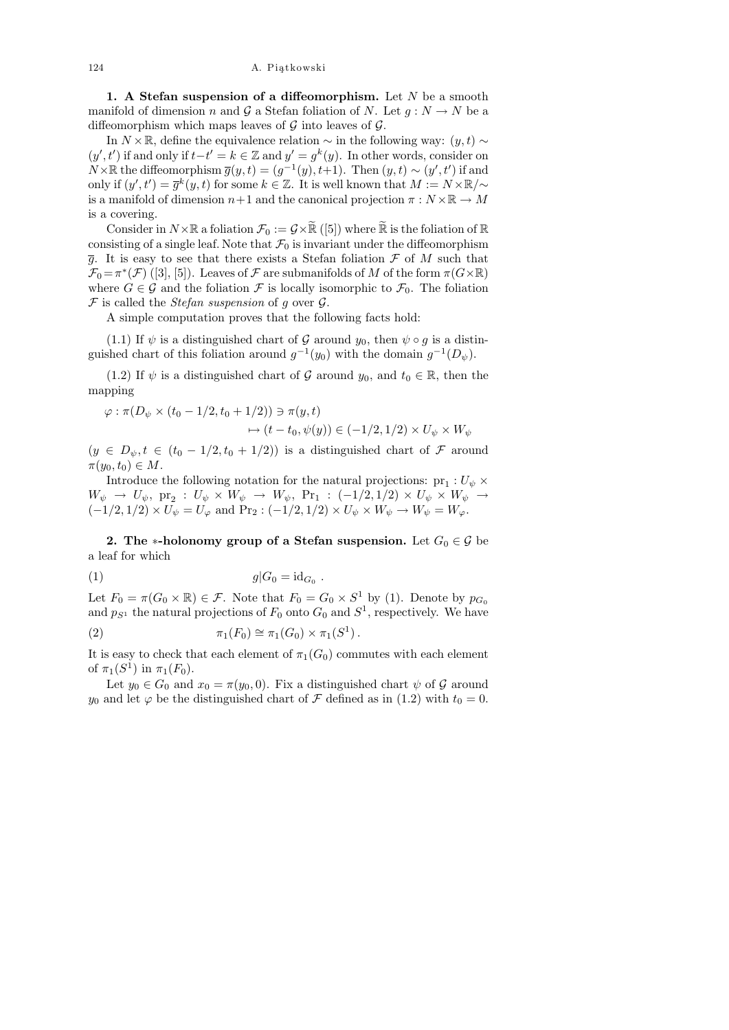124 A. Piątkowski

1. A Stefan suspension of a diffeomorphism. Let  $N$  be a smooth manifold of dimension n and G a Stefan foliation of N. Let  $g: N \to N$  be a diffeomorphism which maps leaves of  $\mathcal G$  into leaves of  $\mathcal G$ .

In  $N \times \mathbb{R}$ , define the equivalence relation  $\sim$  in the following way:  $(y, t) \sim$  $(y', t')$  if and only if  $t-t' = k \in \mathbb{Z}$  and  $y' = g^k(y)$ . In other words, consider on  $N \times \mathbb{R}$  the diffeomorphism  $\overline{g}(y,t) = (g^{-1}(y), t+1)$ . Then  $(y,t) \sim (y', t')$  if and only if  $(y', t') = \overline{g}^k(y, t)$  for some  $k \in \mathbb{Z}$ . It is well known that  $M := N \times \mathbb{R}/\sim$ is a manifold of dimension  $n+1$  and the canonical projection  $\pi : N \times \mathbb{R} \to M$ is a covering.

Consider in  $N\times\mathbb{R}$  a foliation  $\mathcal{F}_0 := \mathcal{G}\times\widetilde{\mathbb{R}}$  ([5]) where  $\widetilde{\mathbb{R}}$  is the foliation of  $\mathbb{R}$ consisting of a single leaf. Note that  $\mathcal{F}_0$  is invariant under the diffeomorphism  $\overline{g}$ . It is easy to see that there exists a Stefan foliation  $\mathcal F$  of M such that  $\mathcal{F}_0 = \pi^*(\mathcal{F})$  ([3], [5]). Leaves of  $\mathcal F$  are submanifolds of M of the form  $\pi(G\times\mathbb{R})$ where  $G \in \mathcal{G}$  and the foliation  $\mathcal F$  is locally isomorphic to  $\mathcal F_0$ . The foliation  $\mathcal F$  is called the *Stefan suspension* of g over  $\mathcal G$ .

A simple computation proves that the following facts hold:

(1.1) If  $\psi$  is a distinguished chart of G around  $y_0$ , then  $\psi \circ g$  is a distinguished chart of this foliation around  $g^{-1}(y_0)$  with the domain  $g^{-1}(D_{\psi})$ .

(1.2) If  $\psi$  is a distinguished chart of G around  $y_0$ , and  $t_0 \in \mathbb{R}$ , then the mapping

$$
\varphi : \pi(D_{\psi} \times (t_0 - 1/2, t_0 + 1/2)) \ni \pi(y, t)
$$
  

$$
\mapsto (t - t_0, \psi(y)) \in (-1/2, 1/2) \times U_{\psi} \times W_{\psi}
$$

 $(y \in D_{\psi}, t \in (t_0 - 1/2, t_0 + 1/2))$  is a distinguished chart of  $\mathcal F$  around  $\pi(y_0, t_0) \in M$ .

Introduce the following notation for the natural projections:  $\text{pr}_1: U_\psi \times$  $W_\psi \rightarrow U_\psi, \text{ pr}_2 \, : \, U_\psi \times W_\psi \rightarrow W_\psi, \text{ Pr}_1 \, : \, (-1/2, 1/2) \times U_\psi \times W_\psi \rightarrow$  $(-1/2, 1/2) \times U_{\psi} = U_{\varphi}$  and  $\Pr_2 : (-1/2, 1/2) \times U_{\psi} \times W_{\psi} \to W_{\psi} = W_{\varphi}$ .

2. The ∗-holonomy group of a Stefan suspension. Let  $G_0 \in \mathcal{G}$  be a leaf for which

.

$$
(1) \t\t g|G_0 = id_{G_0}
$$

Let  $F_0 = \pi(G_0 \times \mathbb{R}) \in \mathcal{F}$ . Note that  $F_0 = G_0 \times S^1$  by (1). Denote by  $p_{G_0}$ and  $p_{S^1}$  the natural projections of  $F_0$  onto  $G_0$  and  $S^1$ , respectively. We have

(2) 
$$
\pi_1(F_0) \cong \pi_1(G_0) \times \pi_1(S^1).
$$

It is easy to check that each element of  $\pi_1(G_0)$  commutes with each element of  $\pi_1(S^1)$  in  $\pi_1(F_0)$ .

Let  $y_0 \in G_0$  and  $x_0 = \pi(y_0, 0)$ . Fix a distinguished chart  $\psi$  of  $\mathcal G$  around  $y_0$  and let  $\varphi$  be the distinguished chart of  $\mathcal F$  defined as in (1.2) with  $t_0 = 0$ .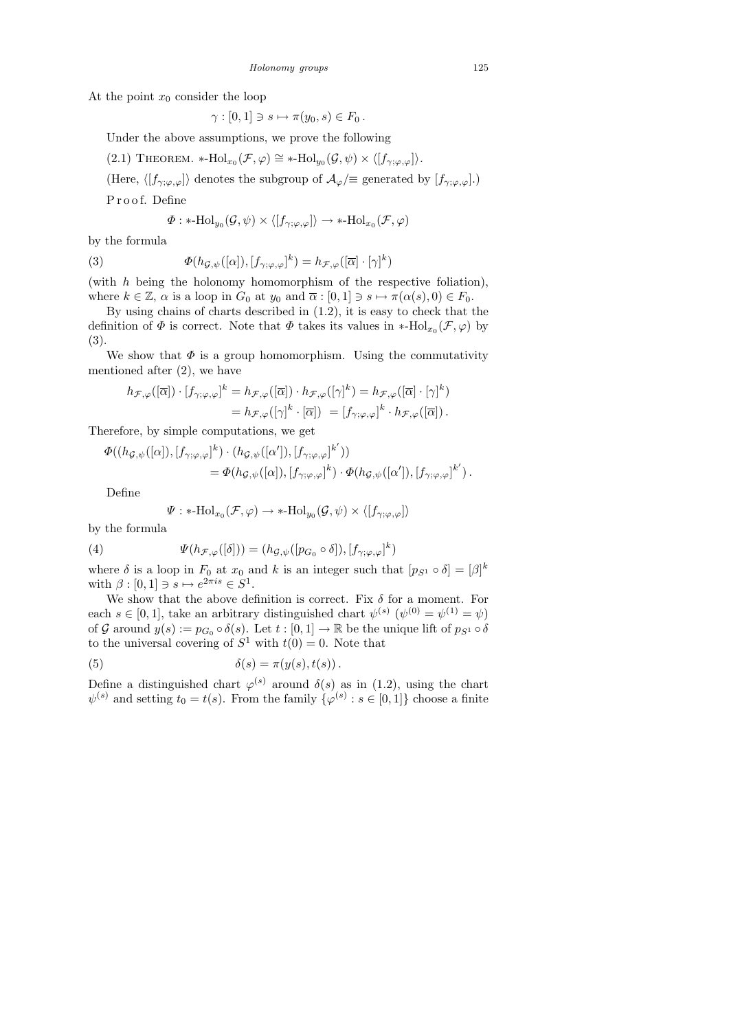At the point  $x_0$  consider the loop

$$
\gamma : [0,1] \ni s \mapsto \pi(y_0,s) \in F_0.
$$

Under the above assumptions, we prove the following

(2.1) THEOREM. \*-Hol<sub>x<sub>0</sub></sub>(
$$
\mathcal{F}, \varphi
$$
)  $\cong$  \*-Hol<sub>y<sub>0</sub></sub>( $\mathcal{G}, \psi$ )  $\times \langle [f_{\gamma; \varphi, \varphi}] \rangle$ .

(Here,  $\langle [f_{\gamma;\varphi,\varphi}] \rangle$  denotes the subgroup of  $\mathcal{A}_{\varphi}$ /≡ generated by  $[f_{\gamma;\varphi,\varphi}]$ .)

P r o o f. Define

$$
\Phi: *\text{-Hol}_{y_0}(\mathcal{G},\psi)\times \langle [f_{\gamma;\varphi,\varphi}]\rangle \to *\text{-Hol}_{x_0}(\mathcal{F},\varphi)
$$

by the formula

(3) 
$$
\Phi(h_{\mathcal{G},\psi}([\alpha]),[f_{\gamma;\varphi,\varphi}]^k) = h_{\mathcal{F},\varphi}([\overline{\alpha}]\cdot[\gamma]^k)
$$

(with  $h$  being the holonomy homomorphism of the respective foliation), where  $k \in \mathbb{Z}$ ,  $\alpha$  is a loop in  $G_0$  at  $y_0$  and  $\overline{\alpha} : [0,1] \ni s \mapsto \pi(\alpha(s), 0) \in F_0$ .

By using chains of charts described in (1.2), it is easy to check that the definition of  $\Phi$  is correct. Note that  $\Phi$  takes its values in \*-Hol<sub>x<sub>0</sub></sub> $(\mathcal{F}, \varphi)$  by (3).

We show that  $\Phi$  is a group homomorphism. Using the commutativity mentioned after (2), we have

$$
h_{\mathcal{F},\varphi}([\overline{\alpha}]) \cdot [f_{\gamma;\varphi,\varphi}]^k = h_{\mathcal{F},\varphi}([\overline{\alpha}]) \cdot h_{\mathcal{F},\varphi}([\gamma]^k) = h_{\mathcal{F},\varphi}([\overline{\alpha}] \cdot [\gamma]^k)
$$
  
= 
$$
h_{\mathcal{F},\varphi}([\gamma]^k \cdot [\overline{\alpha}]) = [f_{\gamma;\varphi,\varphi}]^k \cdot h_{\mathcal{F},\varphi}([\overline{\alpha}]).
$$

Therefore, by simple computations, we get

$$
\Phi((h_{\mathcal{G},\psi}([\alpha]),[f_{\gamma;\varphi,\varphi}]^k)\cdot(h_{\mathcal{G},\psi}([\alpha')),[f_{\gamma;\varphi,\varphi}]^{k'}))
$$
  
= 
$$
\Phi(h_{\mathcal{G},\psi}([\alpha]),[f_{\gamma;\varphi,\varphi}]^k)\cdot\Phi(h_{\mathcal{G},\psi}([\alpha')),[f_{\gamma;\varphi,\varphi}]^{k'}) .
$$

Define

$$
\Psi: *\text{-Hol}_{x_0}(\mathcal{F},\varphi) \to *\text{-Hol}_{y_0}(\mathcal{G},\psi) \times \langle [f_{\gamma;\varphi,\varphi}]\rangle
$$

by the formula

(4) 
$$
\Psi(h_{\mathcal{F},\varphi}([\delta])) = (h_{\mathcal{G},\psi}([p_{G_0} \circ \delta]),[f_{\gamma;\varphi,\varphi}]^k)
$$

where  $\delta$  is a loop in  $F_0$  at  $x_0$  and k is an integer such that  $[p_{S^1} \circ \delta] = [\beta]^k$ with  $\beta : [0,1] \ni s \mapsto e^{2\pi i s} \in S^1$ .

We show that the above definition is correct. Fix  $\delta$  for a moment. For each  $s \in [0,1]$ , take an arbitrary distinguished chart  $\psi^{(s)}(\psi^{(0)} = \psi^{(1)} = \psi)$ of G around  $y(s) := p_{G_0} \circ \delta(s)$ . Let  $t : [0,1] \to \mathbb{R}$  be the unique lift of  $p_{S_1} \circ \delta$ to the universal covering of  $S^1$  with  $t(0) = 0$ . Note that

(5) 
$$
\delta(s) = \pi(y(s), t(s)).
$$

Define a distinguished chart  $\varphi^{(s)}$  around  $\delta(s)$  as in (1.2), using the chart  $\psi^{(s)}$  and setting  $t_0 = t(s)$ . From the family  $\{\varphi^{(s)} : s \in [0,1]\}$  choose a finite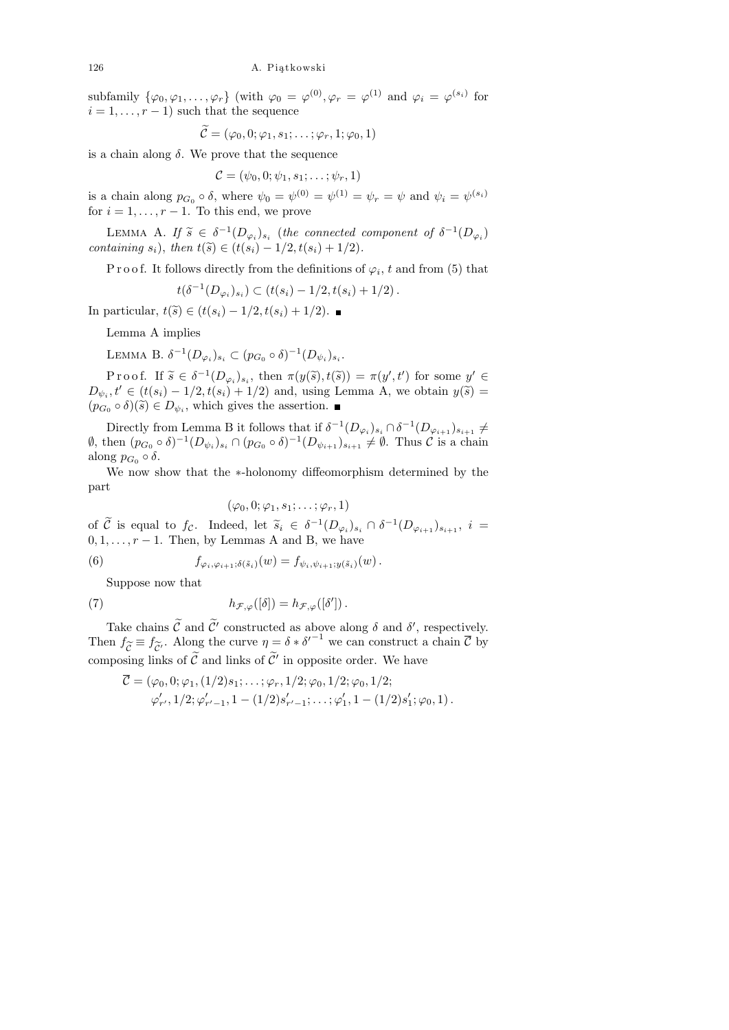subfamily  $\{\varphi_0, \varphi_1, \ldots, \varphi_r\}$  (with  $\varphi_0 = \varphi^{(0)}, \varphi_r = \varphi^{(1)}$  and  $\varphi_i = \varphi^{(s_i)}$  for  $i = 1, \ldots, r - 1$  such that the sequence

$$
\widetilde{\mathcal{C}} = (\varphi_0, 0; \varphi_1, s_1; \ldots; \varphi_r, 1; \varphi_0, 1)
$$

is a chain along  $\delta$ . We prove that the sequence

$$
\mathcal{C}=(\psi_0,0;\psi_1,s_1;\ldots;\psi_r,1)
$$

is a chain along  $p_{G_0} \circ \delta$ , where  $\psi_0 = \psi^{(0)} = \psi^{(1)} = \psi_r = \psi$  and  $\psi_i = \psi^{(s_i)}$ for  $i = 1, \ldots, r - 1$ . To this end, we prove

LEMMA A. If  $\tilde{s} \in \delta^{-1}(D_{\varphi_i})_{s_i}$  (the connected component of  $\delta^{-1}(D_{\varphi_i})$ <br>taining  $\varepsilon_i$ ) then  $t(\tilde{s}) \in (t(\varepsilon_i)-1/2, t(\varepsilon_i)+1/2)$ containing  $s_i$ ), then  $t(\tilde{s}) \in (t(s_i) - 1/2, t(s_i) + 1/2)$ .

P r o o f. It follows directly from the definitions of  $\varphi_i$ , t and from (5) that

$$
t(\delta^{-1}(D_{\varphi_i})_{s_i}) \subset (t(s_i) - 1/2, t(s_i) + 1/2).
$$

In particular,  $t(\tilde{s}) \in (t(s_i) - 1/2, t(s_i) + 1/2)$ . ■

Lemma A implies

LEMMA B.  $\delta^{-1}(D_{\varphi_i})_{s_i} \subset (p_{G_0} \circ \delta)^{-1}(D_{\psi_i})_{s_i}$ .

P r o o f. If  $\widetilde{s} \in \delta^{-1}(D_{\varphi_i})_{s_i}$ , then  $\pi(y(\widetilde{s}), t(\widetilde{s})) = \pi(y', t')$  for some  $y' \in$ <br> $t' \in (t(s), 1/2, t(s), 1/2)$  and using Lamma A, we obtain  $y(\widetilde{s})$  $D_{\psi_i}, t' \in (t(s_i) - 1/2, t(s_i) + 1/2)$  and, using Lemma A, we obtain  $y(\tilde{s}) =$ <br> $(n \geq s)(\tilde{s}) \in D$ , which gives the assertion  $(p_{G_0} \circ \delta)(\tilde{s}) \in D_{\psi_i}$ , which gives the assertion.

Directly from Lemma B it follows that if  $\delta^{-1}(D_{\varphi_i})_{s_i} \cap \delta^{-1}(D_{\varphi_{i+1}})_{s_{i+1}} \neq$  $\emptyset$ , then  $(p_{G_0} \circ \delta)^{-1}(D_{\psi_i})_{s_i} \cap (p_{G_0} \circ \delta)^{-1}(D_{\psi_{i+1}})_{s_{i+1}} \neq \emptyset$ . Thus  $\mathcal C$  is a chain along  $p_{G_0} \circ \delta$ .

We now show that the ∗-holonomy diffeomorphism determined by the part

$$
(\varphi_0, 0; \varphi_1, s_1; \ldots; \varphi_r, 1)
$$

of C is equal to  $f_c$ . Indeed, let  $\tilde{s}_i \in \delta^{-1}(D_{\varphi_i})_{s_i} \cap \delta^{-1}(D_{\varphi_{i+1}})_{s_{i+1}}, i =$  $0, 1, \ldots, r-1$ . Then, by Lemmas A and B, we have

(6) 
$$
f_{\varphi_i, \varphi_{i+1}; \delta(\tilde{s}_i)}(w) = f_{\psi_i, \psi_{i+1}; y(\tilde{s}_i)}(w).
$$

Suppose now that

(7) 
$$
h_{\mathcal{F},\varphi}([\delta]) = h_{\mathcal{F},\varphi}([\delta']) .
$$

Take chains  $\widetilde{\mathcal{C}}$  and  $\widetilde{\mathcal{C}}'$  constructed as above along  $\delta$  and  $\delta'$ , respectively. Then  $f_{\widetilde{\sigma}} \equiv f_{\widetilde{\sigma}}$ . Along the curve  $\eta = \delta * {\delta'}^{-1}$  we can construct a chain  $\overline{\mathcal{C}}$  by  $c = {}^Jc'$ <br>ing lin composing links of  $\tilde{\mathcal{C}}$  and links of  $\tilde{\mathcal{C}}'$  in opposite order. We have

$$
\overline{\mathcal{C}} = (\varphi_0, 0; \varphi_1, (1/2)s_1; \dots; \varphi_r, 1/2; \varphi_0, 1/2; \varphi_0, 1/2; \varphi'_r, 1/2; \varphi'_{r'-1}, 1 - (1/2)s'_{r'-1}; \dots; \varphi'_1, 1 - (1/2)s'_1; \varphi_0, 1).
$$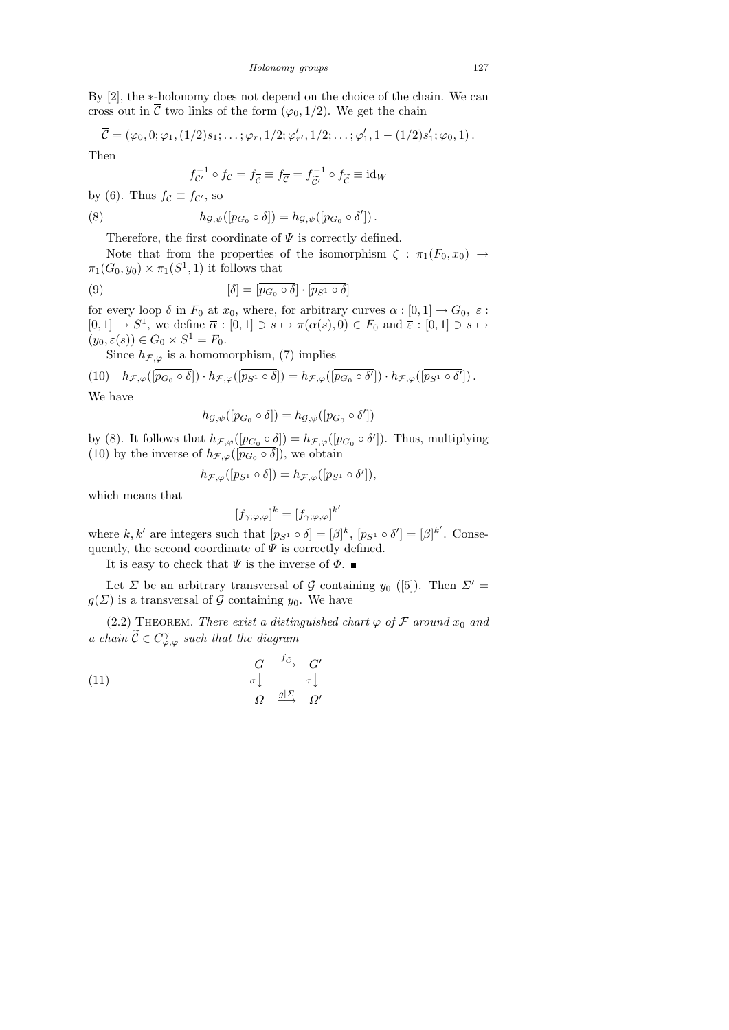By [2], the ∗-holonomy does not depend on the choice of the chain. We can cross out in  $\overline{\mathcal{C}}$  two links of the form  $(\varphi_0, 1/2)$ . We get the chain

$$
\overline{\mathcal{C}} = (\varphi_0, 0; \varphi_1, (1/2)s_1; \ldots; \varphi_r, 1/2; \varphi'_{r'}, 1/2; \ldots; \varphi'_1, 1 - (1/2)s'_1; \varphi_0, 1).
$$

Then

$$
f_{\mathcal{C}'}^{-1} \circ f_{\mathcal{C}} = f_{\overline{\mathcal{C}}} \equiv f_{\mathcal{C}} = f_{\widetilde{\mathcal{C}'}}^{-1} \circ f_{\widetilde{\mathcal{C}}} \equiv \mathrm{id}_W
$$

by (6). Thus  $f_c \equiv f_{c}$ , so

(8) 
$$
h_{\mathcal{G},\psi}([p_{G_0}\circ\delta])=h_{\mathcal{G},\psi}([p_{G_0}\circ\delta'])
$$

Therefore, the first coordinate of  $\Psi$  is correctly defined.

Note that from the properties of the isomorphism  $\zeta : \pi_1(F_0, x_0) \rightarrow$  $\pi_1(G_0, y_0) \times \pi_1(S^1, 1)$  it follows that

(9) 
$$
[\delta] = [\overline{p_{G_0} \circ \delta}] \cdot [\overline{p_{S^1} \circ \delta}]
$$

for every loop  $\delta$  in  $F_0$  at  $x_0$ , where, for arbitrary curves  $\alpha : [0,1] \to G_0$ ,  $\varepsilon$ :  $[0,1] \to S^1$ , we define  $\overline{\alpha} : [0,1] \ni s \mapsto \pi(\alpha(s),0) \in F_0$  and  $\overline{\varepsilon} : [0,1] \ni s \mapsto$  $(y_0, \varepsilon(s)) \in G_0 \times S^1 = F_0.$ 

Since  $h_{\mathcal{F},\varphi}$  is a homomorphism, (7) implies

(10) 
$$
h_{\mathcal{F},\varphi}([\overline{p_{G_0} \circ \delta}]) \cdot h_{\mathcal{F},\varphi}([\overline{p_{S^1} \circ \delta}]) = h_{\mathcal{F},\varphi}([\overline{p_{G_0} \circ \delta'}]) \cdot h_{\mathcal{F},\varphi}([\overline{p_{S^1} \circ \delta'}])
$$
.

We have

$$
h_{\mathcal{G},\psi}([p_{G_0}\circ\delta])=h_{\mathcal{G},\psi}([p_{G_0}\circ\delta'])
$$

by (8). It follows that  $h_{\mathcal{F},\varphi}([\overline{p_{G_0} \circ \delta}]) = h_{\mathcal{F},\varphi}([\overline{p_{G_0} \circ \delta'}])$ . Thus, multiplying (10) by the inverse of  $h_{\mathcal{F},\varphi}([p_{G_0} \circ \delta]),$  we obtain

$$
h_{\mathcal{F},\varphi}([\overline{p_{S^1} \circ \delta}]) = h_{\mathcal{F},\varphi}([\overline{p_{S^1} \circ \delta'}]),
$$

which means that

$$
[f_{\gamma;\varphi,\varphi}]^k = [f_{\gamma;\varphi,\varphi}]
$$

 $k^{\prime}$ 

where k, k' are integers such that  $[p_{S^1} \circ \delta] = [\beta]^k$ ,  $[p_{S^1} \circ \delta'] = [\beta]^{k'}$ . Consequently, the second coordinate of  $\Psi$  is correctly defined.

It is easy to check that  $\Psi$  is the inverse of  $\Phi$ .

Let  $\Sigma$  be an arbitrary transversal of G containing  $y_0$  ([5]). Then  $\Sigma'$  =  $g(\Sigma)$  is a transversal of G containing  $y_0$ . We have

(2.2) THEOREM. There exist a distinguished chart  $\varphi$  of  $\mathcal F$  around  $x_0$  and a chain  $\widetilde{\mathcal{C}} \in C_{\varphi,\varphi}^{\gamma}$  such that the diagram

(11) 
$$
\begin{array}{ccc}\nG & \xrightarrow{f_{\tilde{C}}} & G' \\
\sigma \downarrow & & \tau \downarrow \\
\Omega & \xrightarrow{g|\Sigma} & \Omega'\n\end{array}
$$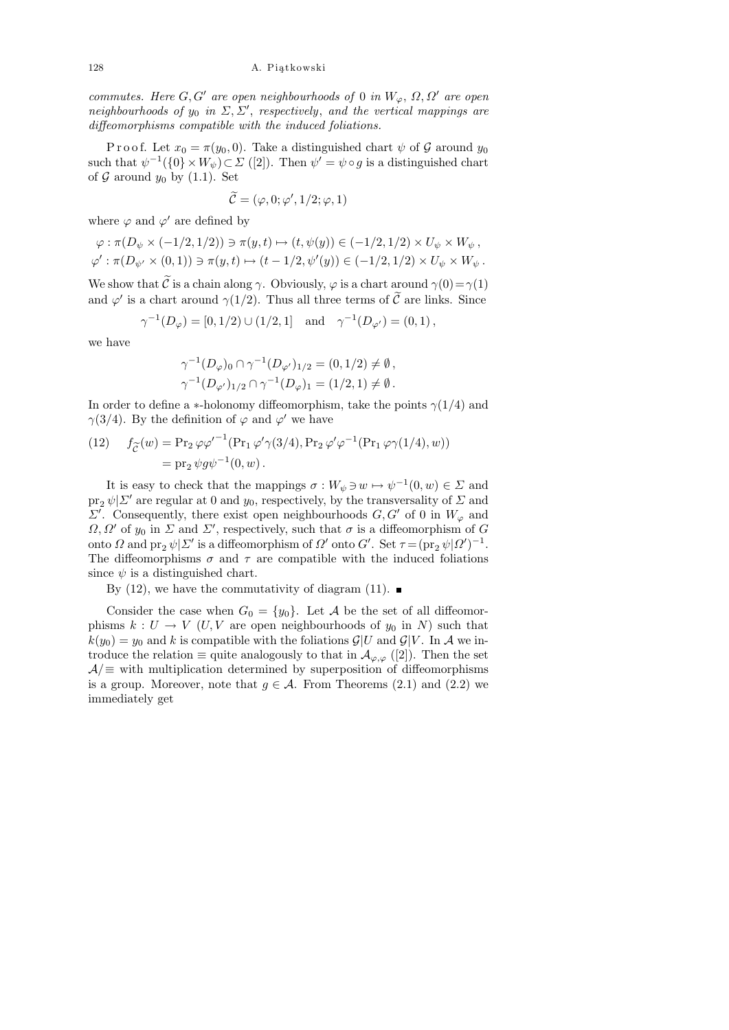commutes. Here  $G, G'$  are open neighbourhoods of 0 in  $W_{\varphi}, \Omega, \Omega'$  are open neighbourhoods of  $y_0$  in  $\Sigma$ ,  $\Sigma'$ , respectively, and the vertical mappings are diffeomorphisms compatible with the induced foliations.

P r o o f. Let  $x_0 = \pi(y_0, 0)$ . Take a distinguished chart  $\psi$  of G around  $y_0$ such that  $\psi^{-1}(\{0\} \times W_{\psi}) \subset \Sigma$  ([2]). Then  $\psi' = \psi \circ g$  is a distinguished chart of  $\mathcal G$  around  $y_0$  by (1.1). Set

$$
\widetilde{\mathcal{C}} = (\varphi, 0; \varphi', 1/2; \varphi, 1)
$$

where  $\varphi$  and  $\varphi'$  are defined by

$$
\varphi: \pi(D_{\psi} \times (-1/2, 1/2)) \ni \pi(y, t) \mapsto (t, \psi(y)) \in (-1/2, 1/2) \times U_{\psi} \times W_{\psi},
$$
  

$$
\varphi': \pi(D_{\psi'} \times (0, 1)) \ni \pi(y, t) \mapsto (t - 1/2, \psi'(y)) \in (-1/2, 1/2) \times U_{\psi} \times W_{\psi}.
$$

We show that  $\tilde{\mathcal{C}}$  is a chain along  $\gamma$ . Obviously,  $\varphi$  is a chart around  $\gamma(0)=\gamma(1)$ and  $\varphi'$  is a chart around  $\gamma(1/2)$ . Thus all three terms of  $\tilde{\mathcal{C}}$  are links. Since

$$
\gamma^{-1}(D_{\varphi}) = [0, 1/2) \cup (1/2, 1]
$$
 and  $\gamma^{-1}(D_{\varphi'}) = (0, 1)$ ,

we have

$$
\gamma^{-1}(D_{\varphi})_0 \cap \gamma^{-1}(D_{\varphi'})_{1/2} = (0, 1/2) \neq \emptyset,
$$
  

$$
\gamma^{-1}(D_{\varphi'})_{1/2} \cap \gamma^{-1}(D_{\varphi})_1 = (1/2, 1) \neq \emptyset.
$$

In order to define a  $\ast$ -holonomy diffeomorphism, take the points  $\gamma(1/4)$  and  $\gamma(3/4)$ . By the definition of  $\varphi$  and  $\varphi'$  we have

(12) 
$$
f_{\widetilde{C}}(w) = \Pr_2 \varphi \varphi'^{-1} (\Pr_1 \varphi' \gamma(3/4), \Pr_2 \varphi' \varphi^{-1} (\Pr_1 \varphi \gamma(1/4), w))
$$

$$
= \Pr_2 \psi g \psi^{-1}(0, w).
$$

It is easy to check that the mappings  $\sigma: W_{\psi} \ni w \mapsto \psi^{-1}(0, w) \in \Sigma$  and  $\text{pr}_2 \psi | \Sigma'$  are regular at 0 and  $y_0$ , respectively, by the transversality of  $\Sigma$  and  $\Sigma'$ . Consequently, there exist open neighbourhoods  $G, G'$  of 0 in  $W_{\varphi}$  and  $\Omega, \Omega'$  of  $y_0$  in  $\Sigma$  and  $\Sigma'$ , respectively, such that  $\sigma$  is a diffeomorphism of G onto  $\Omega$  and  $\text{pr}_2 \psi | \Sigma'$  is a diffeomorphism of  $\Omega'$  onto  $G'$ . Set  $\tau = (\text{pr}_2 \psi | \Omega')^{-1}$ . The diffeomorphisms  $\sigma$  and  $\tau$  are compatible with the induced foliations since  $\psi$  is a distinguished chart.

By (12), we have the commutativity of diagram (11).

Consider the case when  $G_0 = \{y_0\}$ . Let A be the set of all diffeomorphisms  $k: U \to V$  (U, V are open neighbourhoods of  $y_0$  in N) such that  $k(y_0) = y_0$  and k is compatible with the foliations  $\mathcal{G}|U$  and  $\mathcal{G}|V$ . In A we introduce the relation  $\equiv$  quite analogously to that in  $\mathcal{A}_{\varphi,\varphi}$  ([2]). Then the set  $A/\equiv$  with multiplication determined by superposition of diffeomorphisms is a group. Moreover, note that  $g \in \mathcal{A}$ . From Theorems (2.1) and (2.2) we immediately get